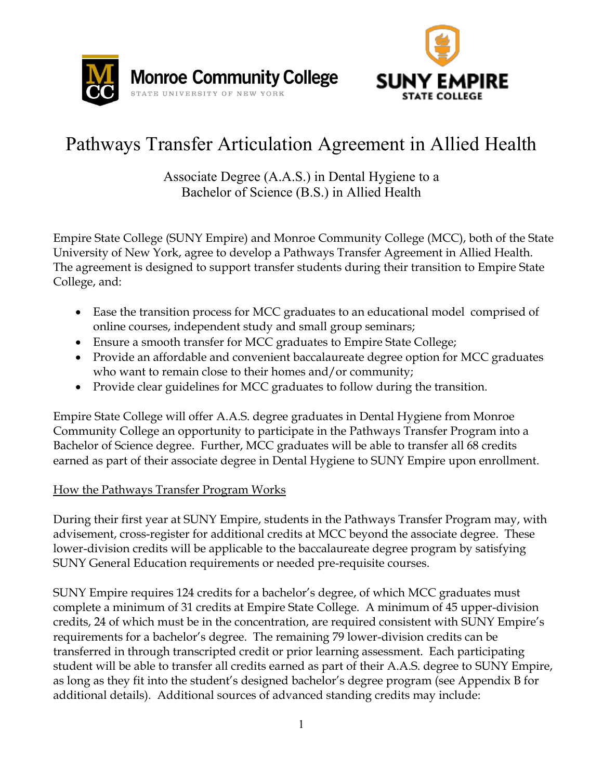



# Pathways Transfer Articulation Agreement in Allied Health

Associate Degree (A.A.S.) in Dental Hygiene to a Bachelor of Science (B.S.) in Allied Health

Empire State College (SUNY Empire) and Monroe Community College (MCC), both of the State University of New York, agree to develop a Pathways Transfer Agreement in Allied Health. The agreement is designed to support transfer students during their transition to Empire State College, and:

- Ease the transition process for MCC graduates to an educational model comprised of online courses, independent study and small group seminars;
- Ensure a smooth transfer for MCC graduates to Empire State College;
- Provide an affordable and convenient baccalaureate degree option for MCC graduates who want to remain close to their homes and/or community;
- Provide clear guidelines for MCC graduates to follow during the transition.

Empire State College will offer A.A.S. degree graduates in Dental Hygiene from Monroe Community College an opportunity to participate in the Pathways Transfer Program into a Bachelor of Science degree. Further, MCC graduates will be able to transfer all 68 credits earned as part of their associate degree in Dental Hygiene to SUNY Empire upon enrollment.

## How the Pathways Transfer Program Works

During their first year at SUNY Empire, students in the Pathways Transfer Program may, with advisement, cross-register for additional credits at MCC beyond the associate degree. These lower-division credits will be applicable to the baccalaureate degree program by satisfying SUNY General Education requirements or needed pre-requisite courses.

SUNY Empire requires 124 credits for a bachelor's degree, of which MCC graduates must complete a minimum of 31 credits at Empire State College. A minimum of 45 upper-division credits, 24 of which must be in the concentration, are required consistent with SUNY Empire's requirements for a bachelor's degree. The remaining 79 lower-division credits can be transferred in through transcripted credit or prior learning assessment. Each participating student will be able to transfer all credits earned as part of their A.A.S. degree to SUNY Empire, as long as they fit into the student's designed bachelor's degree program (see Appendix B for additional details). Additional sources of advanced standing credits may include: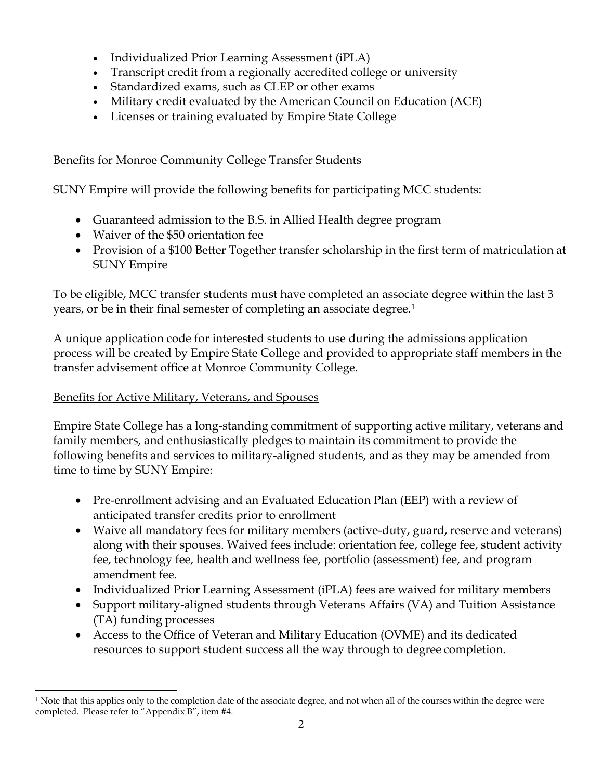- Individualized Prior Learning Assessment (iPLA)
- Transcript credit from a regionally accredited college or university
- Standardized exams, such as CLEP or other exams
- Military credit evaluated by the American Council on Education (ACE)
- Licenses or training evaluated by Empire State College

## Benefits for Monroe Community College Transfer Students

SUNY Empire will provide the following benefits for participating MCC students:

- Guaranteed admission to the B.S. in Allied Health degree program
- Waiver of the \$50 orientation fee
- Provision of a \$100 Better Together transfer scholarship in the first term of matriculation at SUNY Empire

To be eligible, MCC transfer students must have completed an associate degree within the last 3 years, or be in their final semester of completing an associate degree.1

A unique application code for interested students to use during the admissions application process will be created by Empire State College and provided to appropriate staff members in the transfer advisement office at Monroe Community College.

## Benefits for Active Military, Veterans, and Spouses

 $\overline{a}$ 

Empire State College has a long-standing commitment of supporting active military, veterans and family members, and enthusiastically pledges to maintain its commitment to provide the following benefits and services to military-aligned students, and as they may be amended from time to time by SUNY Empire:

- Pre-enrollment advising and an Evaluated Education Plan (EEP) with a review of anticipated transfer credits prior to enrollment
- Waive all mandatory fees for military members (active-duty, guard, reserve and veterans) along with their spouses. Waived fees include: orientation fee, college fee, student activity fee, technology fee, health and wellness fee, portfolio (assessment) fee, and program amendment fee.
- Individualized Prior Learning Assessment (iPLA) fees are waived for military members
- Support military-aligned students through Veterans Affairs (VA) and Tuition Assistance (TA) funding processes
- Access to the Office of Veteran and Military Education (OVME) and its dedicated resources to support student success all the way through to degree completion.

<sup>&</sup>lt;sup>1</sup> Note that this applies only to the completion date of the associate degree, and not when all of the courses within the degree were completed. Please refer to "Appendix B", item #4.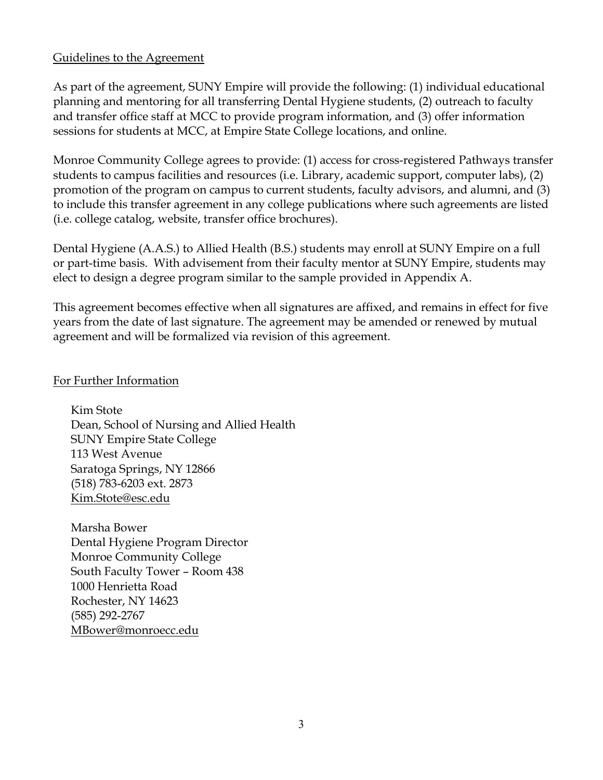#### Guidelines to the Agreement

As part of the agreement, SUNY Empire will provide the following: (1) individual educational planning and mentoring for all transferring Dental Hygiene students, (2) outreach to faculty and transfer office staff at MCC to provide program information, and (3) offer information sessions for students at MCC, at Empire State College locations, and online.

Monroe Community College agrees to provide: (1) access for cross-registered Pathways transfer students to campus facilities and resources (i.e. Library, academic support, computer labs), (2) promotion of the program on campus to current students, faculty advisors, and alumni, and (3) to include this transfer agreement in any college publications where such agreements are listed (i.e. college catalog, website, transfer office brochures).

Dental Hygiene (A.A.S.) to Allied Health (B.S.) students may enroll at SUNY Empire on a full or part-time basis. With advisement from their faculty mentor at SUNY Empire, students may elect to design a degree program similar to the sample provided in Appendix A.

This agreement becomes effective when all signatures are affixed, and remains in effect for five years from the date of last signature. The agreement may be amended or renewed by mutual agreement and will be formalized via revision of this agreement.

#### For Further Information

Kim Stote Dean, School of Nursing and Allied Health SUNY Empire State College 113 West Avenue Saratoga Springs, NY 12866 (518) 783-6203 ext. 2873 Kim.Stote@esc.edu

Marsha Bower Dental Hygiene Program Director Monroe Community College South Faculty Tower – Room 438 1000 Henrietta Road Rochester, NY 14623 (585) 292-2767 MBower@monroecc.edu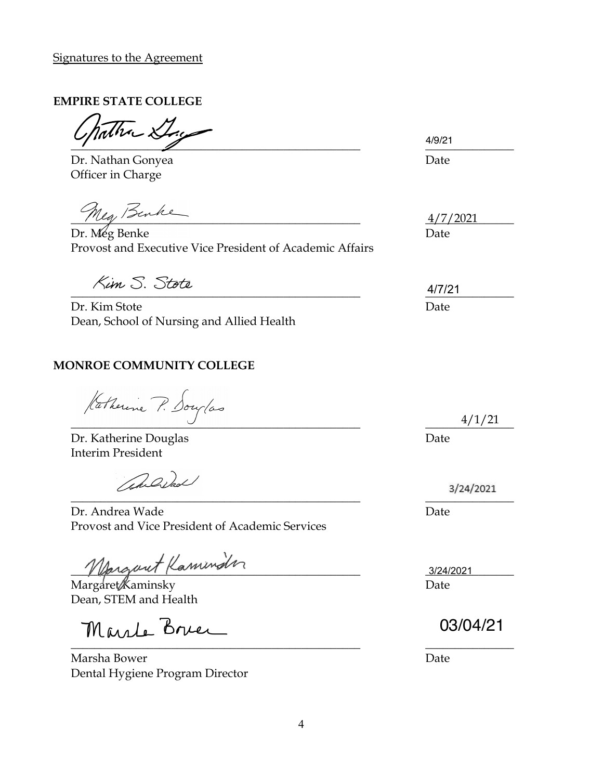#### **EMPIRE STATE COLLEGE**

 $\overline{\phantom{a} }$   $\overline{\phantom{a} }$   $\overline{\phantom{a} }$   $\overline{\phantom{a} }$   $\overline{\phantom{a} }$   $\overline{\phantom{a} }$   $\overline{\phantom{a} }$   $\overline{\phantom{a} }$   $\overline{\phantom{a} }$   $\overline{\phantom{a} }$   $\overline{\phantom{a} }$   $\overline{\phantom{a} }$   $\overline{\phantom{a} }$   $\overline{\phantom{a} }$   $\overline{\phantom{a} }$   $\overline{\phantom{a} }$   $\overline{\phantom{a} }$ 

Dr. Nathan Gonyea **Date** Officer in Charge

Meg Benke

Dr. Meg Benke Date Provost and Executive Vice President of Academic Affairs

Dr. Kim Stote Date Dean, School of Nursing and Allied Health

### **MONROE COMMUNITY COLLEGE**

 $\frac{4}{1/21}$ 

Dr. Katherine Douglas Date Interim President

andral

 $\overline{\phantom{a}}$ Dr. Andrea Wade **Date** Date Date Date Date Provost and Vice President of Academic Services

Margaret Kaminder

Margaret Kaminsky Date Dean, STEM and Health

Marle Bree \_\_\_\_\_\_\_\_\_\_\_\_\_\_\_\_\_\_\_\_\_\_\_\_\_\_\_\_\_\_\_\_\_\_\_\_\_\_\_\_\_\_\_\_\_\_\_\_\_ \_\_\_\_\_\_\_\_\_\_\_\_\_\_\_

Marsha Bower Date Dental Hygiene Program Director

4/9/21

4/7/2021

 $\frac{4/1721}{2}$ 4/7/21

4/1/21

3/24/2021

03/04/21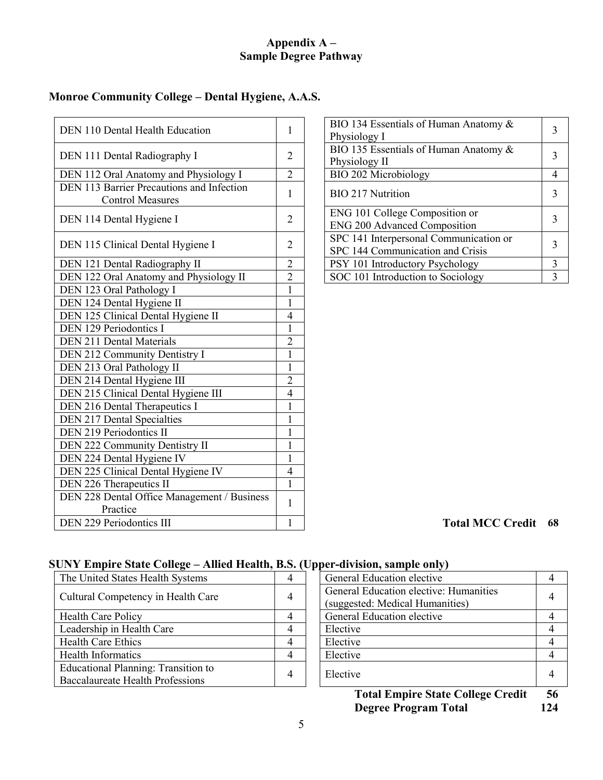#### **Appendix A – Sample Degree Pathway**

#### **Monroe Community College – Dental Hygiene, A.A.S.**

| DEN 110 Dental Health Education                                      | 1              | BIO 134 Essentials of Human Anatomy &<br>Physiology I                      | $\overline{3}$          |
|----------------------------------------------------------------------|----------------|----------------------------------------------------------------------------|-------------------------|
| DEN 111 Dental Radiography I                                         | 2              | BIO 135 Essentials of Human Anatomy &<br>Physiology II                     | $\overline{3}$          |
| DEN 112 Oral Anatomy and Physiology I                                | $\overline{2}$ | BIO 202 Microbiology                                                       | $\overline{4}$          |
| DEN 113 Barrier Precautions and Infection<br><b>Control Measures</b> | 1              | <b>BIO 217 Nutrition</b>                                                   | 3                       |
| DEN 114 Dental Hygiene I                                             | 2              | ENG 101 College Composition or<br><b>ENG 200 Advanced Composition</b>      | $\overline{3}$          |
| DEN 115 Clinical Dental Hygiene I                                    | 2              | SPC 141 Interpersonal Communication or<br>SPC 144 Communication and Crisis | $\overline{3}$          |
| DEN 121 Dental Radiography II                                        | $\overline{c}$ | PSY 101 Introductory Psychology                                            | $\overline{\mathbf{3}}$ |
| DEN 122 Oral Anatomy and Physiology II                               | $\overline{2}$ | SOC 101 Introduction to Sociology                                          | $\overline{3}$          |
| DEN 123 Oral Pathology I                                             | $\mathbf{1}$   |                                                                            |                         |
| DEN 124 Dental Hygiene II                                            | $\mathbf{1}$   |                                                                            |                         |
| DEN 125 Clinical Dental Hygiene II                                   | 4              |                                                                            |                         |
| DEN 129 Periodontics I                                               | $\mathbf{1}$   |                                                                            |                         |
| <b>DEN 211 Dental Materials</b>                                      | $\overline{c}$ |                                                                            |                         |
| DEN 212 Community Dentistry I                                        | $\mathbf{1}$   |                                                                            |                         |
| DEN 213 Oral Pathology II                                            | $\mathbf{1}$   |                                                                            |                         |
| DEN 214 Dental Hygiene III                                           | $\overline{2}$ |                                                                            |                         |
| DEN 215 Clinical Dental Hygiene III                                  | $\overline{4}$ |                                                                            |                         |
| DEN 216 Dental Therapeutics I                                        | 1              |                                                                            |                         |
| <b>DEN 217 Dental Specialties</b>                                    | $\mathbf{1}$   |                                                                            |                         |
| DEN 219 Periodontics II                                              | $\mathbf{1}$   |                                                                            |                         |
| DEN 222 Community Dentistry II                                       | $\mathbf{1}$   |                                                                            |                         |
| DEN 224 Dental Hygiene IV                                            | $\mathbf{1}$   |                                                                            |                         |
| DEN 225 Clinical Dental Hygiene IV                                   | $\overline{4}$ |                                                                            |                         |
| DEN 226 Therapeutics II                                              | 1              |                                                                            |                         |
| DEN 228 Dental Office Management / Business<br>Practice              | 1              |                                                                            |                         |
| DEN 229 Periodontics III                                             | $\mathbf{1}$   | <b>Total MCC Credit</b>                                                    | 68                      |

| Dental Health Education                                      |                | BIO 134 Essentials of Human Anatomy &<br>Physiology I                      |   |
|--------------------------------------------------------------|----------------|----------------------------------------------------------------------------|---|
| Dental Radiography I                                         | 2              | BIO 135 Essentials of Human Anatomy &<br>Physiology II                     |   |
| Oral Anatomy and Physiology I                                | $\overline{2}$ | BIO 202 Microbiology                                                       | 4 |
| Barrier Precautions and Infection<br><b>Control Measures</b> |                | <b>BIO 217 Nutrition</b>                                                   |   |
| Dental Hygiene I                                             | 2              | ENG 101 College Composition or<br><b>ENG 200 Advanced Composition</b>      |   |
| Clinical Dental Hygiene I                                    | 2              | SPC 141 Interpersonal Communication or<br>SPC 144 Communication and Crisis |   |
| Dental Radiography II                                        | 2              | PSY 101 Introductory Psychology                                            |   |
| Oral Anatomy and Physiology II                               | $\overline{2}$ | SOC 101 Introduction to Sociology                                          | 3 |
|                                                              |                |                                                                            |   |

## **SUNY Empire State College – Allied Health, B.S. (Upper-division, sample only)**

| The United States Health Systems                                               | 4 | General Education elective                                                | $\overline{4}$ |
|--------------------------------------------------------------------------------|---|---------------------------------------------------------------------------|----------------|
| Cultural Competency in Health Care                                             | 4 | General Education elective: Humanities<br>(suggested: Medical Humanities) | $\overline{4}$ |
| <b>Health Care Policy</b>                                                      | 4 | General Education elective                                                | 4              |
| Leadership in Health Care                                                      | 4 | Elective                                                                  | $\overline{4}$ |
| <b>Health Care Ethics</b>                                                      | 4 | Elective                                                                  | $\overline{4}$ |
| <b>Health Informatics</b>                                                      | 4 | Elective                                                                  | $\overline{4}$ |
| Educational Planning: Transition to<br><b>Baccalaureate Health Professions</b> | 4 | Elective                                                                  | $\overline{A}$ |

| General Education elective                                                |  |
|---------------------------------------------------------------------------|--|
| General Education elective: Humanities<br>(suggested: Medical Humanities) |  |
| General Education elective                                                |  |
| Elective                                                                  |  |
| Elective                                                                  |  |
| Elective                                                                  |  |
| Elective                                                                  |  |
|                                                                           |  |

**Total Empire State College Credit 56<br>Degree Program Total 124 Degree Program Total**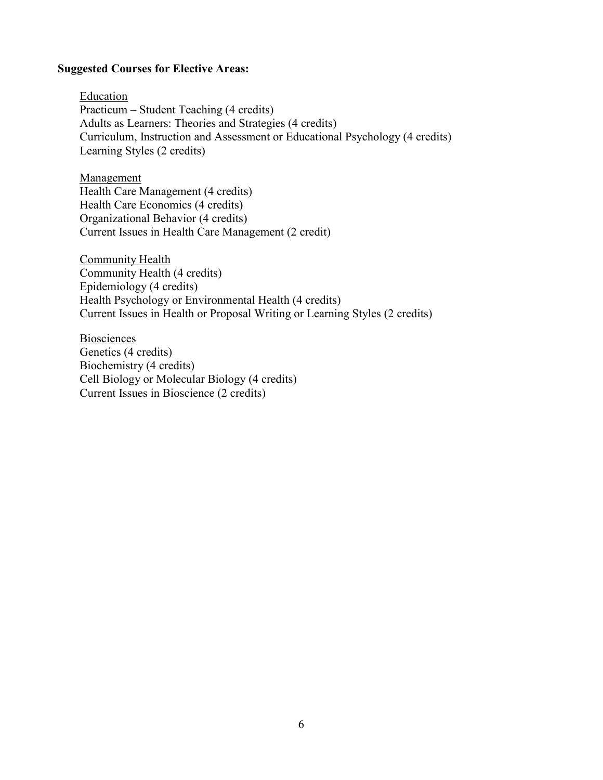#### **Suggested Courses for Elective Areas:**

Education Practicum – Student Teaching (4 credits) Adults as Learners: Theories and Strategies (4 credits) Curriculum, Instruction and Assessment or Educational Psychology (4 credits) Learning Styles (2 credits)

**Management** Health Care Management (4 credits) Health Care Economics (4 credits) Organizational Behavior (4 credits) Current Issues in Health Care Management (2 credit)

Community Health Community Health (4 credits) Epidemiology (4 credits) Health Psychology or Environmental Health (4 credits) Current Issues in Health or Proposal Writing or Learning Styles (2 credits)

Biosciences Genetics (4 credits) Biochemistry (4 credits) Cell Biology or Molecular Biology (4 credits) Current Issues in Bioscience (2 credits)